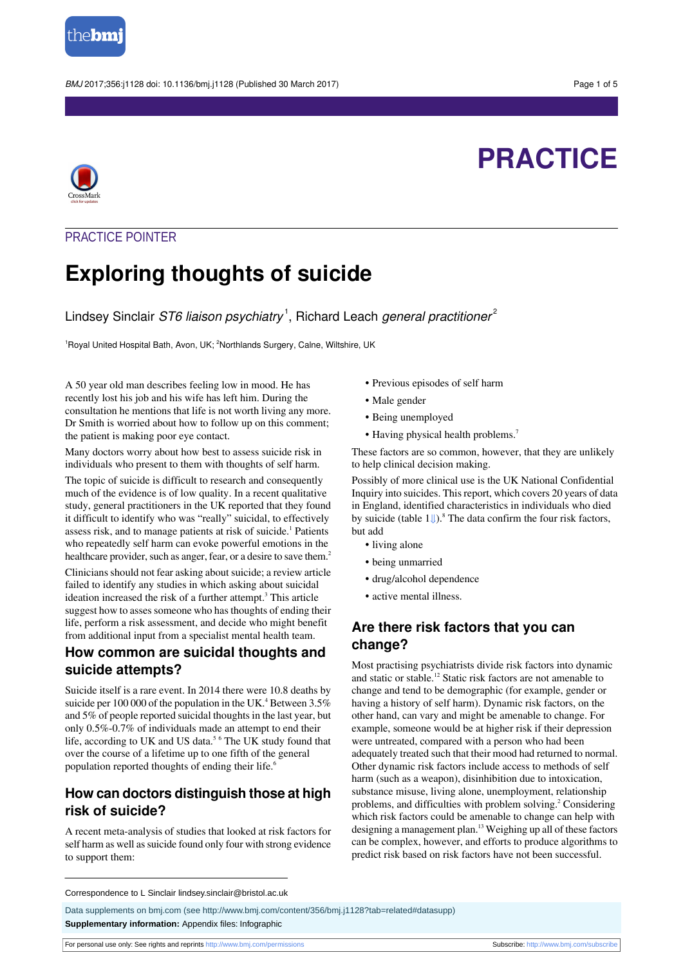

BMJ 2017:356:j1128 doi: 10.1136/bmj.j1128 (Published 30 March 2017) Page 1 of 5

# **PRACTICE**



## PRACTICE POINTER

## **Exploring thoughts of suicide**

Lindsey Sinclair *ST6 liaison psychiatry*  $^1$ , Richard Leach *general practitioner*  $^2$ 

<sup>1</sup>Royal United Hospital Bath, Avon, UK; <sup>2</sup>Northlands Surgery, Calne, Wiltshire, UK

A 50 year old man describes feeling low in mood. He has recently lost his job and his wife has left him. During the consultation he mentions that life is not worth living any more. Dr Smith is worried about how to follow up on this comment; the patient is making poor eye contact.

Many doctors worry about how best to assess suicide risk in individuals who present to them with thoughts of self harm.

The topic of suicide is difficult to research and consequently much of the evidence is of low quality. In a recent qualitative study, general practitioners in the UK reported that they found it difficult to identify who was "really" suicidal, to effectively assess risk, and to manage patients at risk of suicide.<sup>1</sup> Patients who repeatedly self harm can evoke powerful emotions in the healthcare provider, such as anger, fear, or a desire to save them.<sup>2</sup>

Clinicians should not fear asking about suicide; a review article failed to identify any studies in which asking about suicidal ideation increased the risk of a further attempt.<sup>3</sup> This article suggest how to asses someone who has thoughts of ending their life, perform a risk assessment, and decide who might benefit from additional input from a specialist mental health team.

## **How common are suicidal thoughts and suicide attempts?**

Suicide itself is a rare event. In 2014 there were 10.8 deaths by suicide per 100 000 of the population in the UK.<sup>4</sup> Between  $3.5\%$ and 5% of people reported suicidal thoughts in the last year, but only 0.5%-0.7% of individuals made an attempt to end their life, according to UK and US data.<sup>5 6</sup> The UK study found that over the course of a lifetime up to one fifth of the general population reported thoughts of ending their life.<sup>6</sup>

## **How can doctors distinguish those at high risk of suicide?**

A recent meta-analysis of studies that looked at risk factors for self harm as well as suicide found only four with strong evidence to support them:

- **•** Previous episodes of self harm
- **•** Male gender
- **•** Being unemployed
- Having physical health problems.<sup>7</sup>

These factors are so common, however, that they are unlikely to help clinical decision making.

Possibly of more clinical use is the UK National Confidential Inquiry into suicides. Thisreport, which covers 20 years of data in England, identified characteristics in individuals who died by suicide (table  $1 \cup \mathbb{R}^8$ . The data confirm the four risk factors, but add

- **•** living alone
- **•** being unmarried
- **•** drug/alcohol dependence
- **•** active mental illness.

## **Are there risk factors that you can change?**

Most practising psychiatrists divide risk factors into dynamic and static or stable.<sup>12</sup> Static risk factors are not amenable to change and tend to be demographic (for example, gender or having a history of self harm). Dynamic risk factors, on the other hand, can vary and might be amenable to change. For example, someone would be at higher risk if their depression were untreated, compared with a person who had been adequately treated such that their mood had returned to normal. Other dynamic risk factors include access to methods of self harm (such as a weapon), disinhibition due to intoxication, substance misuse, living alone, unemployment, relationship problems, and difficulties with problem solving.<sup>2</sup> Considering which risk factors could be amenable to change can help with designing a management plan.<sup>13</sup> Weighing up all of these factors can be complex, however, and efforts to produce algorithms to predict risk based on risk factors have not been successful.

Correspondence to L Sinclair lindsey.sinclair@bristol.ac.uk

Data supplements on bmj.com (see <http://www.bmj.com/content/356/bmj.j1128?tab=related#datasupp>) **Supplementary information:** Appendix files: Infographic

For personal use only: See rights and reprints<http://www.bmj.com/permissions> Subscribe: <http://www.bmj.com/subscribe>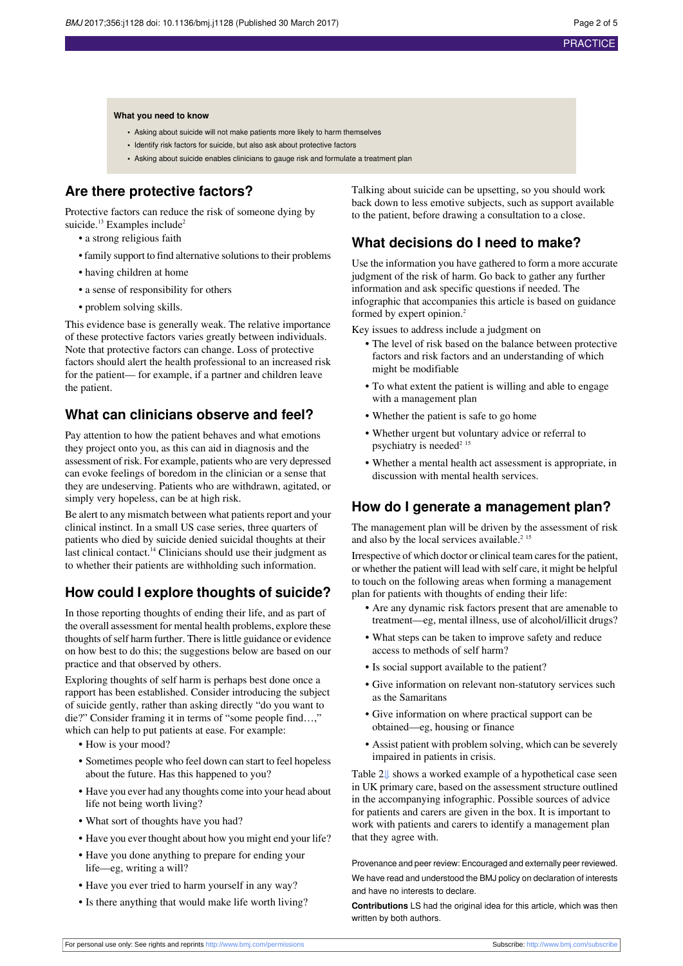#### **What you need to know**

- **•** Asking about suicide will not make patients more likely to harm themselves
- **•** Identify risk factors for suicide, but also ask about protective factors
- **•** Asking about suicide enables clinicians to gauge risk and formulate a treatment plan

## **Are there protective factors?**

Protective factors can reduce the risk of someone dying by suicide.<sup>13</sup> Examples include<sup>2</sup>

• a strong religious faith

- family support to find alternative solutions to their problems
- having children at home
- a sense of responsibility for others
- problem solving skills.

This evidence base is generally weak. The relative importance of these protective factors varies greatly between individuals. Note that protective factors can change. Loss of protective factors should alert the health professional to an increased risk for the patient— for example, if a partner and children leave the patient.

## **What can clinicians observe and feel?**

Pay attention to how the patient behaves and what emotions they project onto you, as this can aid in diagnosis and the assessment of risk. For example, patients who are very depressed can evoke feelings of boredom in the clinician or a sense that they are undeserving. Patients who are withdrawn, agitated, or simply very hopeless, can be at high risk.

Be alert to any mismatch between what patients report and your clinical instinct. In a small US case series, three quarters of patients who died by suicide denied suicidal thoughts at their last clinical contact.<sup>14</sup> Clinicians should use their judgment as to whether their patients are withholding such information.

## **How could I explore thoughts of suicide?**

In those reporting thoughts of ending their life, and as part of the overall assessment for mental health problems, explore these thoughts of self harm further. There is little guidance or evidence on how best to do this; the suggestions below are based on our practice and that observed by others.

Exploring thoughts of self harm is perhaps best done once a rapport has been established. Consider introducing the subject of suicide gently, rather than asking directly "do you want to die?" Consider framing it in terms of "some people find…," which can help to put patients at ease. For example:

- **•** How is your mood?
- **•** Sometimes people who feel down can start to feel hopeless about the future. Has this happened to you?
- **•** Have you ever had any thoughts come into your head about life not being worth living?
- **•** What sort of thoughts have you had?
- **•** Have you ever thought about how you might end your life?
- **•** Have you done anything to prepare for ending your life—eg, writing a will?
- **•** Have you ever tried to harm yourself in any way?
- **•** Is there anything that would make life worth living?

Talking about suicide can be upsetting, so you should work back down to less emotive subjects, such as support available to the patient, before drawing a consultation to a close.

## **What decisions do I need to make?**

Use the information you have gathered to form a more accurate judgment of the risk of harm. Go back to gather any further information and ask specific questions if needed. The infographic that accompanies this article is based on guidance formed by expert opinion.<sup>2</sup>

Key issues to address include a judgment on

- **•** The level of risk based on the balance between protective factors and risk factors and an understanding of which might be modifiable
- **•** To what extent the patient is willing and able to engage with a management plan
- **•** Whether the patient is safe to go home
- **•** Whether urgent but voluntary advice or referral to psychiatry is needed<sup>2 15</sup>
- **•** Whether a mental health act assessment is appropriate, in discussion with mental health services.

## **How do I generate a management plan?**

The management plan will be driven by the assessment of risk and also by the local services available.<sup>2 15</sup>

Irrespective of which doctor or clinical team cares for the patient, or whether the patient will lead with self care, it might be helpful to touch on the following areas when forming a management plan for patients with thoughts of ending their life:

- **•** Are any dynamic risk factors present that are amenable to treatment—eg, mental illness, use of alcohol/illicit drugs?
- **•** What steps can be taken to improve safety and reduce access to methods of self harm?
- **•** Is social support available to the patient?
- **•** Give information on relevant non-statutory services such as the Samaritans
- **•** Give information on where practical support can be obtained—eg, housing or finance
- **•** Assist patient with problem solving, which can be severely impaired in patients in crisis.

Table 2[⇓](#page-4-0) shows a worked example of a hypothetical case seen in UK primary care, based on the assessment structure outlined in the accompanying infographic. Possible sources of advice for patients and carers are given in the box. It is important to work with patients and carers to identify a management plan that they agree with.

Provenance and peer review: Encouraged and externally peer reviewed. We have read and understood the BMJ policy on declaration of interests and have no interests to declare.

**Contributions** LS had the original idea for this article, which was then written by both authors.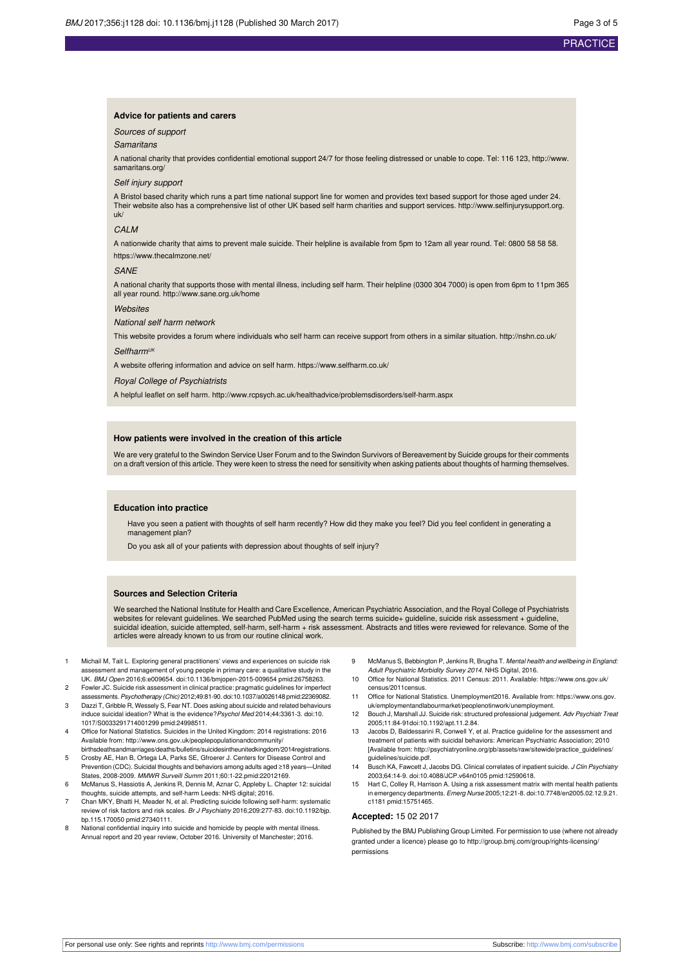#### **Advice for patients and carers**

#### Sources of support

#### **Samaritans**

A national charity that provides confidential emotional support 24/7 for those feeling distressed or unable to cope. Tel: 116 123, [http://www.](http://www.samaritans.org/) [samaritans.org/](http://www.samaritans.org/)

#### Self injury support

A Bristol based charity which runs a part time national support line for women and provides text based support for those aged under 24. Their website also has a comprehensive list of other UK based self harm charities and support services. [http://www.selfinjurysupport.org.](http://www.selfinjurysupport.org.uk/) [uk/](http://www.selfinjurysupport.org.uk/)

#### C<sub>AL</sub>M

A nationwide charity that aims to prevent male suicide. Their helpline is available from 5pm to 12am all year round. Tel: 0800 58 58 58. https://www.thecalmzone.net/

#### SANE

A national charity that supports those with mental illness, including self harm. Their helpline (0300 304 7000) is open from 6pm to 11pm 365 all year round. <http://www.sane.org.uk/home>

#### **Websites**

National self harm network

This website provides a forum where individuals who self harm can receive support from others in a similar situation. <http://nshn.co.uk/>

#### $S$ elfharm<sup>Uk</sup>

A website offering information and advice on self harm. https://www.selfharm.co.uk/

Royal College of Psychiatrists

A helpful leaflet on self harm. <http://www.rcpsych.ac.uk/healthadvice/problemsdisorders/self-harm.aspx>

#### **How patients were involved in the creation of this article**

We are very grateful to the Swindon Service User Forum and to the Swindon Survivors of Bereavement by Suicide groups for their comments on a draft version of this article. They were keen to stress the need for sensitivity when asking patients about thoughts of harming themselves.

#### **Education into practice**

Have you seen a patient with thoughts of self harm recently? How did they make you feel? Did you feel confident in generating a management plan?

Do you ask all of your patients with depression about thoughts of self injury?

#### **Sources and Selection Criteria**

We searched the National Institute for Health and Care Excellence, American Psychiatric Association, and the Royal College of Psychiatrists websites for relevant guidelines. We searched PubMed using the search terms suicide+ guideline, suicide risk assessment + guideline, suicidal ideation, suicide attempted, self-harm, self-harm + risk assessment. Abstracts and titles were reviewed for relevance. Some of the articles were already known to us from our routine clinical work.

- 1 Michail M, Tait L. Exploring general practitioners' views and experiences on suicide risk assessment and management of young people in primary care: a qualitative study in the UK. BMJ Open 2016;6:e009654. [doi:10.1136/bmjopen-2015-009654](http://dx.doi.org/10.1136/bmjopen-2015-009654) [pmid:26758263.](http://www.ncbi.nlm.nih.gov/pubmed/?term=26758263)
- 2 Fowler JC. Suicide risk assessment in clinical practice: pragmatic guidelines for imperfect assessments. Psychotherapy (Chic) 2012;49:81-90. [doi:10.1037/a0026148](http://dx.doi.org/10.1037/a0026148) [pmid:22369082](http://www.ncbi.nlm.nih.gov/pubmed/?term=22369082).
- 3 Dazzi T, Gribble R, Wessely S, Fear NT. Does asking about suicide and related behaviours induce suicidal ideation? What is the evidence?Psychol Med 2014;44:3361-3. [doi:10.](http://dx.doi.org/10.1017/S0033291714001299) [1017/S0033291714001299](http://dx.doi.org/10.1017/S0033291714001299) [pmid:24998511](http://www.ncbi.nlm.nih.gov/pubmed/?term=24998511).
- 4 Office for National Statistics. Suicides in the United Kingdom: 2014 registrations: 2016 Available from: [http://www.ons.gov.uk/peoplepopulationandcommunity/](http://www.ons.gov.uk/peoplepopulationandcommunity/birthsdeathsandmarriages/deaths/bulletins/suicidesintheunitedkingdom/2014registrations)
- [birthsdeathsandmarriages/deaths/bulletins/suicidesintheunitedkingdom/2014registrations](http://www.ons.gov.uk/peoplepopulationandcommunity/birthsdeathsandmarriages/deaths/bulletins/suicidesintheunitedkingdom/2014registrations). 5 Crosby AE, Han B, Ortega LA, Parks SE, Gfroerer J. Centers for Disease Control and Prevention (CDC). Suicidal thoughts and behaviors among adults aged ≥18 years—United
- States, 2008-2009. MMWR Surveill Summ 2011;60:1-22.[pmid:22012169.](http://www.ncbi.nlm.nih.gov/pubmed/?term=22012169) 6 McManus S, Hassiotis A, Jenkins R, Dennis M, Aznar C, Appleby L. Chapter 12: suicidal thoughts, suicide attempts, and self-harm Leeds: NHS digital; 2016.
- 7 Chan MKY, Bhatti H, Meader N, et al. Predicting suicide following self-harm: systematic review of risk factors and risk scales. Br J Psychiatry 2016;209:277-83. [doi:10.1192/bjp.](http://dx.doi.org/10.1192/bjp.bp.115.170050) [bp.115.170050](http://dx.doi.org/10.1192/bjp.bp.115.170050) [pmid:27340111.](http://www.ncbi.nlm.nih.gov/pubmed/?term=27340111)
- 8 National confidential inquiry into suicide and homicide by people with mental illness. Annual report and 20 year review, October 2016. University of Manchester; 2016.
- 9 McManus S, Bebbington P, Jenkins R, Brugha T, Mental health and wellbeing in England: Adult Psychiatric Morbidity Survey 2014. NHS Digital, 2016.
- 10 Office for National Statistics. 2011 Census: 2011. Available: https://www.ons.gov.uk/ census/2011census.
- 11 Office for National Statistics. Unemployment2016. Available from: https://www.ons.gov. uk/employmentandlabourmarket/peoplenotinwork/unemployment.
- 12 Bouch J, Marshall JJ. Suicide risk: structured professional judgement. Adv Psychiatr Treat 2005;11:84-9[1doi:10.1192/apt.11.2.84](http://dx.doi.org/10.1192/apt.11.2.84).
- 13 Jacobs D, Baldessarini R, Conwell Y, et al. Practice guideline for the assessment and treatment of patients with suicidal behaviors: American Psychiatric Association; 2010 [Available from: [http://psychiatryonline.org/pb/assets/raw/sitewide/practice\\_guidelines/](http://psychiatryonline.org/pb/assets/raw/sitewide/practice_guidelines/guidelines/suicide.pdf) [guidelines/suicide.pdf.](http://psychiatryonline.org/pb/assets/raw/sitewide/practice_guidelines/guidelines/suicide.pdf)
- 14 Busch KA, Fawcett J, Jacobs DG. Clinical correlates of inpatient suicide. J Clin Psychiatry 2003;64:14-9. [doi:10.4088/JCP.v64n0105](http://dx.doi.org/10.4088/JCP.v64n0105) [pmid:12590618](http://www.ncbi.nlm.nih.gov/pubmed/?term=12590618).
- 15 Hart C, Colley R, Harrison A. Using a risk assessment matrix with mental health patients in emergency departments. Emerg Nurse 2005;12:21-8. [doi:10.7748/en2005.02.12.9.21.](http://dx.doi.org/10.7748/en2005.02.12.9.21.c1181) [c1181](http://dx.doi.org/10.7748/en2005.02.12.9.21.c1181) [pmid:15751465](http://www.ncbi.nlm.nih.gov/pubmed/?term=15751465).

#### **Accepted:** 15 02 2017

Published by the BMJ Publishing Group Limited. For permission to use (where not already granted under a licence) please go to [http://group.bmj.com/group/rights-licensing/](http://group.bmj.com/group/rights-licensing/permissions) [permissions](http://group.bmj.com/group/rights-licensing/permissions)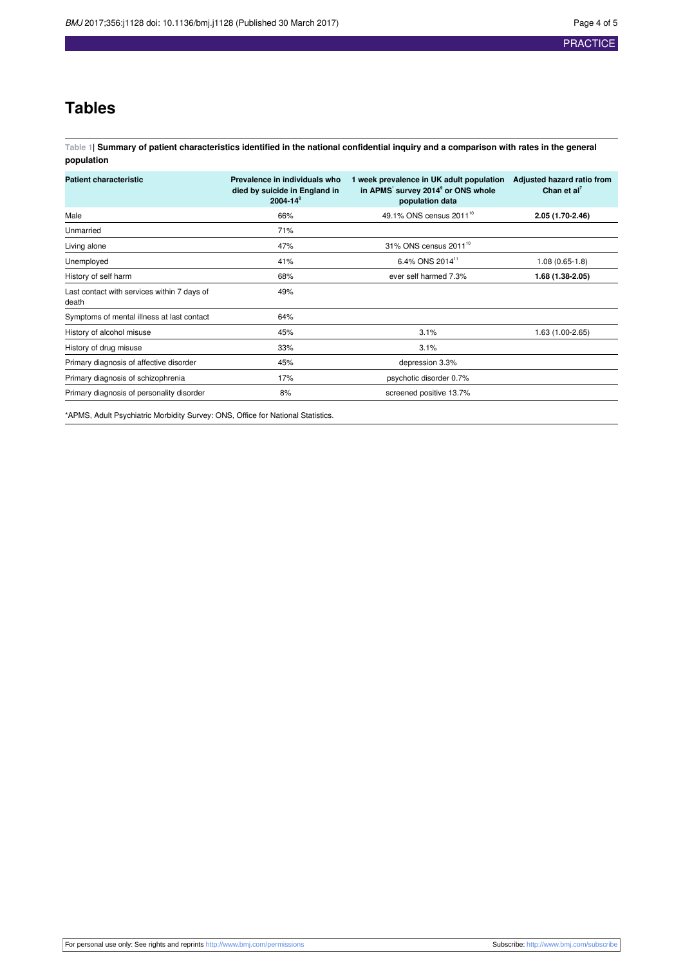## **Tables**

<span id="page-3-0"></span>Table 1| Summary of patient characteristics identified in the national confidential inquiry and a comparison with rates in the general **population**

| <b>Patient characteristic</b>                        | Prevalence in individuals who<br>died by suicide in England in<br>$2004 - 14^8$ | 1 week prevalence in UK adult population<br>in APMS' survey 2014 <sup>9</sup> or ONS whole<br>population data | Adjusted hazard ratio from<br>Chan et al <sup>7</sup> |
|------------------------------------------------------|---------------------------------------------------------------------------------|---------------------------------------------------------------------------------------------------------------|-------------------------------------------------------|
| Male                                                 | 66%                                                                             | 49.1% ONS census 2011 <sup>10</sup>                                                                           | 2.05 (1.70-2.46)                                      |
| Unmarried                                            | 71%                                                                             |                                                                                                               |                                                       |
| Living alone                                         | 47%                                                                             | 31% ONS census 2011 <sup>10</sup>                                                                             |                                                       |
| Unemployed                                           | 41%                                                                             | 6.4% ONS 2014 <sup>11</sup>                                                                                   | $1.08(0.65-1.8)$                                      |
| History of self harm                                 | 68%                                                                             | ever self harmed 7.3%                                                                                         | 1.68 (1.38-2.05)                                      |
| Last contact with services within 7 days of<br>death | 49%                                                                             |                                                                                                               |                                                       |
| Symptoms of mental illness at last contact           | 64%                                                                             |                                                                                                               |                                                       |
| History of alcohol misuse                            | 45%                                                                             | 3.1%                                                                                                          | 1.63 (1.00-2.65)                                      |
| History of drug misuse                               | 33%                                                                             | 3.1%                                                                                                          |                                                       |
| Primary diagnosis of affective disorder              | 45%                                                                             | depression 3.3%                                                                                               |                                                       |
| Primary diagnosis of schizophrenia                   | 17%                                                                             | psychotic disorder 0.7%                                                                                       |                                                       |
| Primary diagnosis of personality disorder            | 8%                                                                              | screened positive 13.7%                                                                                       |                                                       |

\*APMS, Adult Psychiatric Morbidity Survey: ONS, Office for National Statistics.